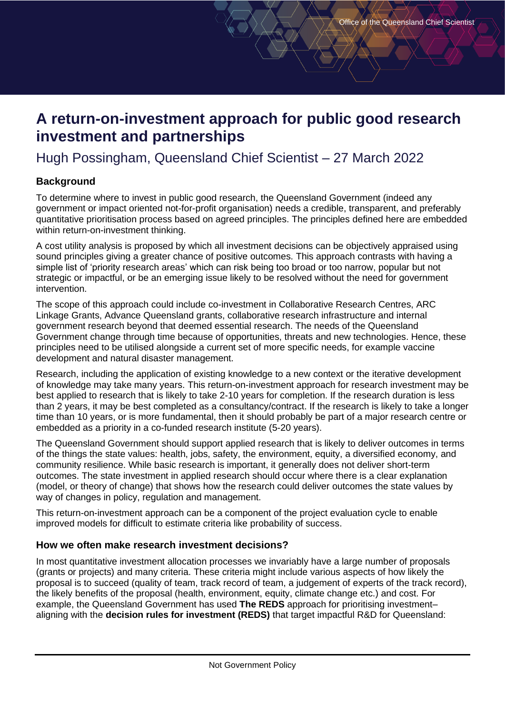# **A return-on-investment approach for public good research investment and partnerships**

# Hugh Possingham, Queensland Chief Scientist – 27 March 2022

## **Background**

To determine where to invest in public good research, the Queensland Government (indeed any government or impact oriented not-for-profit organisation) needs a credible, transparent, and preferably quantitative prioritisation process based on agreed principles. The principles defined here are embedded within return-on-investment thinking.

A cost utility analysis is proposed by which all investment decisions can be objectively appraised using sound principles giving a greater chance of positive outcomes. This approach contrasts with having a simple list of 'priority research areas' which can risk being too broad or too narrow, popular but not strategic or impactful, or be an emerging issue likely to be resolved without the need for government intervention.

The scope of this approach could include co-investment in Collaborative Research Centres, ARC Linkage Grants, Advance Queensland grants, collaborative research infrastructure and internal government research beyond that deemed essential research. The needs of the Queensland Government change through time because of opportunities, threats and new technologies. Hence, these principles need to be utilised alongside a current set of more specific needs, for example vaccine development and natural disaster management.

Research, including the application of existing knowledge to a new context or the iterative development of knowledge may take many years. This return-on-investment approach for research investment may be best applied to research that is likely to take 2-10 years for completion. If the research duration is less than 2 years, it may be best completed as a consultancy/contract. If the research is likely to take a longer time than 10 years, or is more fundamental, then it should probably be part of a major research centre or embedded as a priority in a co-funded research institute (5-20 years).

The Queensland Government should support applied research that is likely to deliver outcomes in terms of the things the state values: health, jobs, safety, the environment, equity, a diversified economy, and community resilience. While basic research is important, it generally does not deliver short-term outcomes. The state investment in applied research should occur where there is a clear explanation (model, or theory of change) that shows how the research could deliver outcomes the state values by way of changes in policy, regulation and management.

This return-on-investment approach can be a component of the project evaluation cycle to enable improved models for difficult to estimate criteria like probability of success.

### **How we often make research investment decisions?**

In most quantitative investment allocation processes we invariably have a large number of proposals (grants or projects) and many criteria. These criteria might include various aspects of how likely the proposal is to succeed (quality of team, track record of team, a judgement of experts of the track record), the likely benefits of the proposal (health, environment, equity, climate change etc.) and cost. For example, the Queensland Government has used **The REDS** approach for prioritising investment– aligning with the **[decision rules for investment \(REDS\)](https://www.chiefscientist.qld.gov.au/strategy-priorities/decision-rules-for-investment)** that target impactful R&D for Queensland: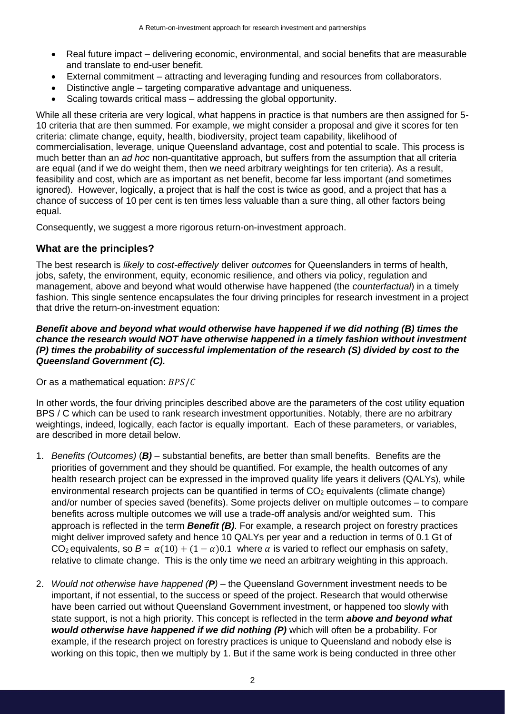- Real future impact delivering economic, environmental, and social benefits that are measurable and translate to end-user benefit.
- External commitment attracting and leveraging funding and resources from collaborators.
- Distinctive angle targeting comparative advantage and uniqueness.
- Scaling towards critical mass addressing the global opportunity.

While all these criteria are very logical, what happens in practice is that numbers are then assigned for 5- 10 criteria that are then summed. For example, we might consider a proposal and give it scores for ten criteria: climate change, equity, health, biodiversity, project team capability, likelihood of commercialisation, leverage, unique Queensland advantage, cost and potential to scale. This process is much better than an *ad hoc* non-quantitative approach, but suffers from the assumption that all criteria are equal (and if we do weight them, then we need arbitrary weightings for ten criteria). As a result, feasibility and cost, which are as important as net benefit, become far less important (and sometimes ignored). However, logically, a project that is half the cost is twice as good, and a project that has a chance of success of 10 per cent is ten times less valuable than a sure thing, all other factors being equal.

Consequently, we suggest a more rigorous return-on-investment approach.

### **What are the principles?**

The best research is *likely* to *cost-effectively* deliver *outcomes* for Queenslanders in terms of health, jobs, safety, the environment, equity, economic resilience, and others via policy, regulation and management, above and beyond what would otherwise have happened (the *counterfactual*) in a timely fashion. This single sentence encapsulates the four driving principles for research investment in a project that drive the return-on-investment equation:

#### *Benefit above and beyond what would otherwise have happened if we did nothing (B) times the chance the research would NOT have otherwise happened in a timely fashion without investment (P) times the probability of successful implementation of the research (S) divided by cost to the Queensland Government (C).*

Or as a mathematical equation:  $BPS/C$ 

In other words, the four driving principles described above are the parameters of the cost utility equation BPS / C which can be used to rank research investment opportunities. Notably, there are no arbitrary weightings, indeed, logically, each factor is equally important. Each of these parameters, or variables, are described in more detail below.

- 1. *Benefits (Outcomes)* (*B)* substantial benefits, are better than small benefits. Benefits are the priorities of government and they should be quantified. For example, the health outcomes of any health research project can be expressed in the improved quality life years it delivers (QALYs), while environmental research projects can be quantified in terms of  $CO<sub>2</sub>$  equivalents (climate change) and/or number of species saved (benefits). Some projects deliver on multiple outcomes – to compare benefits across multiple outcomes we will use a trade-off analysis and/or weighted sum. This approach is reflected in the term *Benefit (B)*. For example, a research project on forestry practices might deliver improved safety and hence 10 QALYs per year and a reduction in terms of 0.1 Gt of CO<sub>2</sub> equivalents, so  $B = \alpha(10) + (1 - \alpha)0.1$  where  $\alpha$  is varied to reflect our emphasis on safety, relative to climate change. This is the only time we need an arbitrary weighting in this approach.
- 2. *Would not otherwise have happened (P) –* the Queensland Government investment needs to be important, if not essential, to the success or speed of the project. Research that would otherwise have been carried out without Queensland Government investment, or happened too slowly with state support, is not a high priority. This concept is reflected in the term *above and beyond what would otherwise have happened if we did nothing (P)* which will often be a probability. For example, if the research project on forestry practices is unique to Queensland and nobody else is working on this topic, then we multiply by 1. But if the same work is being conducted in three other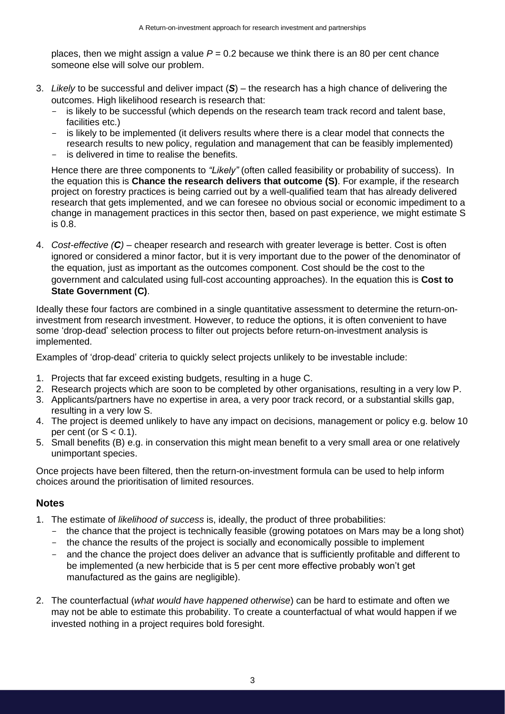places, then we might assign a value  $P = 0.2$  because we think there is an 80 per cent chance someone else will solve our problem.

- 3. *Likely* to be successful and deliver impact (*S*) the research has a high chance of delivering the outcomes. High likelihood research is research that:
	- is likely to be successful (which depends on the research team track record and talent base, facilities etc.)
	- is likely to be implemented (it delivers results where there is a clear model that connects the research results to new policy, regulation and management that can be feasibly implemented)
	- is delivered in time to realise the benefits.

Hence there are three components to *"Likely"* (often called feasibility or probability of success). In the equation this is **Chance the research delivers that outcome (S)**. For example, if the research project on forestry practices is being carried out by a well-qualified team that has already delivered research that gets implemented, and we can foresee no obvious social or economic impediment to a change in management practices in this sector then, based on past experience, we might estimate S is 0.8.

4. *Cost-effective (C) –* cheaper research and research with greater leverage is better. Cost is often ignored or considered a minor factor, but it is very important due to the power of the denominator of the equation, just as important as the outcomes component. Cost should be the cost to the government and calculated using full-cost accounting approaches). In the equation this is **Cost to State Government (C)**.

Ideally these four factors are combined in a single quantitative assessment to determine the return-oninvestment from research investment. However, to reduce the options, it is often convenient to have some 'drop-dead' selection process to filter out projects before return-on-investment analysis is implemented.

Examples of 'drop-dead' criteria to quickly select projects unlikely to be investable include:

- 1. Projects that far exceed existing budgets, resulting in a huge C.
- 2. Research projects which are soon to be completed by other organisations, resulting in a very low P.
- 3. Applicants/partners have no expertise in area, a very poor track record, or a substantial skills gap, resulting in a very low S.
- 4. The project is deemed unlikely to have any impact on decisions, management or policy e.g. below 10 per cent (or  $S < 0.1$ ).
- 5. Small benefits (B) e.g. in conservation this might mean benefit to a very small area or one relatively unimportant species.

Once projects have been filtered, then the return-on-investment formula can be used to help inform choices around the prioritisation of limited resources.

### **Notes**

- 1. The estimate of *likelihood of success* is, ideally, the product of three probabilities:
	- the chance that the project is technically feasible (growing potatoes on Mars may be a long shot)
	- the chance the results of the project is socially and economically possible to implement
	- and the chance the project does deliver an advance that is sufficiently profitable and different to be implemented (a new herbicide that is 5 per cent more effective probably won't get manufactured as the gains are negligible).
- 2. The counterfactual (*what would have happened otherwise*) can be hard to estimate and often we may not be able to estimate this probability. To create a counterfactual of what would happen if we invested nothing in a project requires bold foresight.